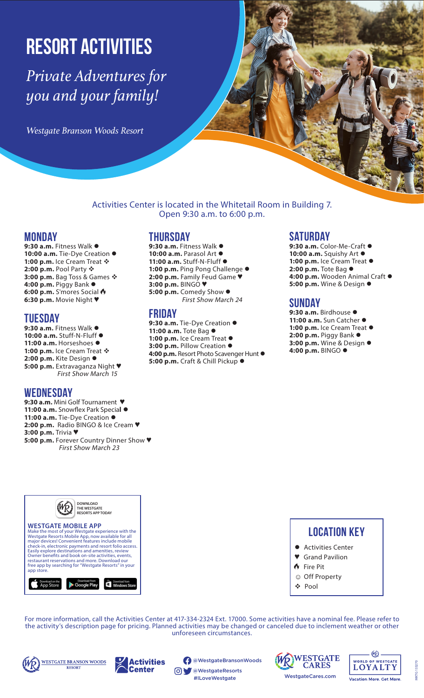# Resort Activities

*Private Adventures for you and your family!*

*Westgate Branson Woods Resort* 

# Activities Center is located in the Whitetail Room in Building 7. Open 9:30 a.m. to 6:00 p.m.

# **Monday**

9:30 a.m. Fitness Walk  $\bullet$ 10:00 a.m. Tie-Dye Creation  $\bullet$ 1:00 p.m. Ice Cream Treat  $\mathbf{\hat{*}}$ **2:00 p.m.** Pool Party ❖ **3:00 p.m.** Bag Toss & Games ❖ **4:00 p.m.** Piggy Bank l **6:00 p.m.** S'mores Social **6:30 p.m.** Movie Night ♥

# **Tuesday**

9:30 a.m. Fitness Walk  $\bullet$ 10:00 a.m. Stuff-N-Fluff  $\bullet$ 11:00 a.m. Horseshoes  $\bullet$ 1:00 p.m. Ice Cream Treat  $\mathbf{\hat{*}}$ 2:00 p.m. Kite Design  $\bullet$ **5:00 p.m.** Extravaganza Night ♥ First Show March 15

# **Wednesday**

**9:30 a.m.** Mini Golf Tournament ♥ 11:00 a.m. Snowflex Park Special  $\bullet$ 11:00 a.m. Tie-Dye Creation  $\bullet$ **2:00 p.m.** Radio BINGO & Ice Cream ♥ **3:00 p.m.** Trivia ♥ **5:00 p.m.** Forever Country Dinner Show ♥ First Show March 23

# **Thursday**

9:30 a.m. Fitness Walk  $\bullet$ 10:00 a.m. Parasol Art  $\bullet$ 11:00 a.m. Stuff-N-Fluff  $\bullet$ 1:00 p.m. Ping Pong Challenge  $\bullet$ **2:00 p.m.** Family Feud Game ♥ **3:00 p.m.** BINGO ♥ 5:00 p.m. Comedy Show  $\bullet$ First Show March 24

# **Friday**

9:30 a.m. Tie-Dye Creation  $\bullet$ **11:00 a.m.** Tote Bag l 1:00 p.m. Ice Cream Treat  $\bullet$ 3:00 p.m. Pillow Creation  $\bullet$ 4:00 p.m. Resort Photo Scavenger Hunt  $\bullet$ **5:00 p.m.** Craft & Chill Pickup ●

# **Saturday**

9:30 a.m. Color-Me-Craft  $\bullet$ 10:00 a.m. Squishy Art  $\bullet$ 1:00 p.m. Ice Cream Treat  $\bullet$ 2:00 p.m. Tote Bag  $\bullet$ 4:00 p.m. Wooden Animal Craft  $\bullet$ **5:00 p.m.** Wine & Design  $\bullet$ 

# **Sunday**

9:30 a.m. Birdhouse · 11:00 a.m. Sun Catcher  $\bullet$ 1:00 p.m. Ice Cream Treat  $\bullet$ **2:00 p.m.** Piggy Bank  $\bullet$ **3:00 p.m.** Wine & Design  $\bullet$ **4:00 p.m.** BINGO ●



# **Location Key**

- **•** Activities Center
- ♥ Grand Pavilion
- Fire Pit
- ☺ Off Property
- Pool

For more information, call the Activities Center at 417-334-2324 Ext. 17000. Some activities have a nominal fee. Please refer to the activity's description page for pricing. Planned activities may be changed or canceled due to inclement weather or other unforeseen circumstances.





@WestgateBransonWoods

@WestgateResorts #ILoveWestgate





133270 MKTG 133270 MKTG